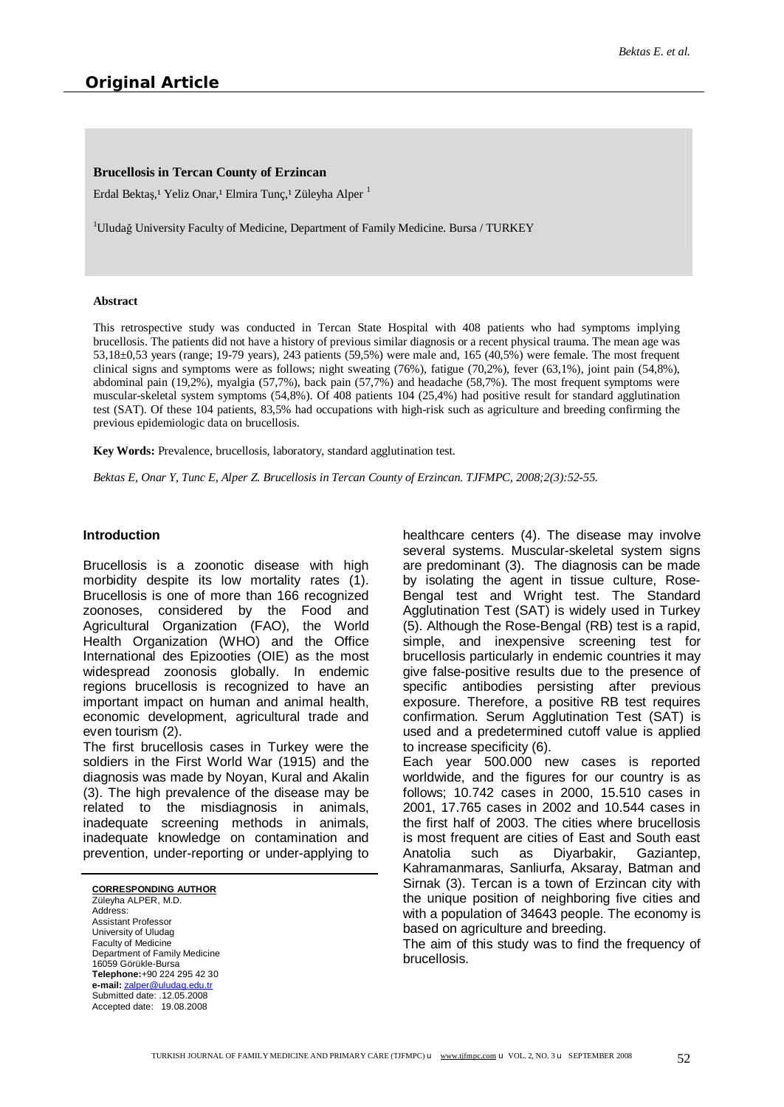## **Brucellosis in Tercan County of Erzincan**

Erdal Bektaş,<sup>1</sup> Yeliz Onar,<sup>1</sup> Elmira Tunç,<sup>1</sup> Züleyha Alper<sup>1</sup>

<sup>1</sup>Uludağ University Faculty of Medicine, Department of Family Medicine. Bursa / TURKEY

#### **Abstract**

This retrospective study was conducted in Tercan State Hospital with 408 patients who had symptoms implying brucellosis. The patients did not have a history of previous similar diagnosis or a recent physical trauma. The mean age was 53,18±0,53 years (range; 19-79 years), 243 patients (59,5%) were male and, 165 (40,5%) were female. The most frequent clinical signs and symptoms were as follows; night sweating (76%), fatigue (70,2%), fever (63,1%), joint pain (54,8%), abdominal pain (19,2%), myalgia (57,7%), back pain (57,7%) and headache (58,7%). The most frequent symptoms were muscular-skeletal system symptoms (54,8%). Of 408 patients 104 (25,4%) had positive result for standard agglutination test (SAT). Of these 104 patients, 83,5% had occupations with high-risk such as agriculture and breeding confirming the previous epidemiologic data on brucellosis.

**Key Words:** Prevalence, brucellosis, laboratory, standard agglutination test.

*Bektas E, Onar Y, Tunc E, Alper Z. Brucellosis in Tercan County of Erzincan. TJFMPC, 2008;2(3):52-55.* 

## **Introduction**

Brucellosis is a zoonotic disease with high morbidity despite its low mortality rates (1). Brucellosis is one of more than 166 recognized zoonoses, considered by the Food and Agricultural Organization (FAO), the World Health Organization (WHO) and the Office International des Epizooties (OIE) as the most widespread zoonosis globally. In endemic regions brucellosis is recognized to have an important impact on human and animal health, economic development, agricultural trade and even tourism (2).

The first brucellosis cases in Turkey were the soldiers in the First World War (1915) and the diagnosis was made by Noyan, Kural and Akalin (3). The high prevalence of the disease may be related to the misdiagnosis in animals, inadequate screening methods in animals, inadequate knowledge on contamination and prevention, under-reporting or under-applying to

#### **CORRESPONDING AUTHOR**

Züleyha ALPER, M.D. Address: Assistant Professor University of Uludag Faculty of Medicine Department of Family Medicine 16059 Görükle-Bursa **Telephone:**+90 224 295 42 30 **e-mail:** [zalper@uludag.edu.tr](mailto:zalper@uludag.edu.tr) Submitted date: .12.05.2008 Accepted date: 19.08.2008

healthcare centers (4). The disease may involve several systems. Muscular-skeletal system signs are predominant (3). The diagnosis can be made by isolating the agent in tissue culture, Rose-Bengal test and Wright test. The Standard Agglutination Test (SAT) is widely used in Turkey (5). Although the Rose-Bengal (RB) test is a rapid, simple, and inexpensive screening test for brucellosis particularly in endemic countries it may give false-positive results due to the presence of specific antibodies persisting after previous exposure. Therefore, a positive RB test requires confirmation. Serum Agglutination Test (SAT) is used and a predetermined cutoff value is applied to increase specificity (6). Each year 500.000 new cases is reported

worldwide, and the figures for our country is as follows; 10.742 cases in 2000, 15.510 cases in 2001, 17.765 cases in 2002 and 10.544 cases in the first half of 2003. The cities where brucellosis is most frequent are cities of East and South east Anatolia such as Diyarbakir, Gaziantep, Kahramanmaras, Sanliurfa, Aksaray, Batman and Sirnak (3). Tercan is a town of Erzincan city with the unique position of neighboring five cities and with a population of 34643 people. The economy is based on agriculture and breeding.

The aim of this study was to find the frequency of brucellosis.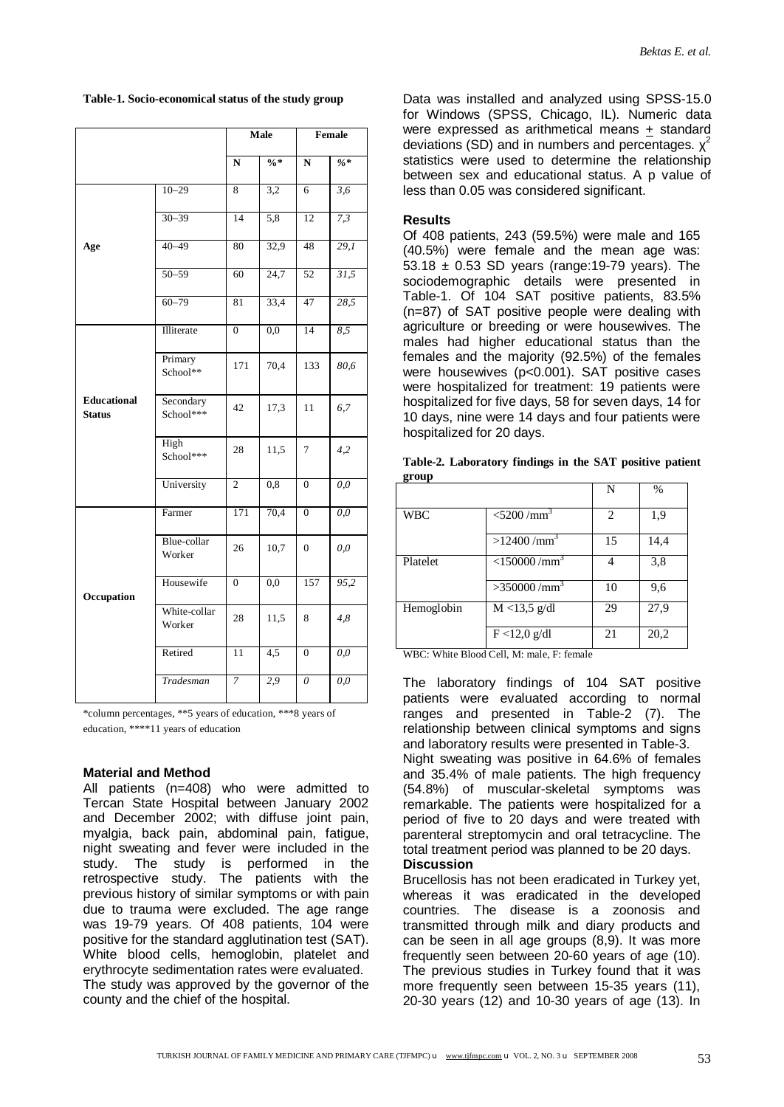**Table-1. Socio-economical status of the study group** 

|                                     |                        | Male           |                  | Female             |                  |
|-------------------------------------|------------------------|----------------|------------------|--------------------|------------------|
|                                     |                        | ${\bf N}$      | $\frac{0}{6}$ *  | $\overline{\bf N}$ | $\frac{9}{6}$ *  |
|                                     | $10 - 29$              | 8              | 3,2              | 6                  | $\overline{3,6}$ |
|                                     | $30 - 39$              | 14             | 5,8              | 12                 | 7,3              |
| Age                                 | $40 - 49$              | 80             | 32,9             | 48                 | 29,1             |
|                                     | $50 - 59$              | 60             | 24,7             | 52                 | 31,5             |
|                                     | $60 - 79$              | 81             | 33,4             | 47                 | 28,5             |
|                                     | Illiterate             | $\overline{0}$ | 0,0              | 14                 | 8,5              |
|                                     | Primary<br>School**    | 171            | 70,4             | 133                | 80,6             |
| <b>Educational</b><br><b>Status</b> | Secondary<br>School*** | 42             | 17,3             | 11                 | 6,7              |
|                                     | High<br>School***      | 28             | 11,5             | 7                  | 4,2              |
|                                     | University             | $\overline{c}$ | 0,8              | $\overline{0}$     | 0,0              |
|                                     | Farmer                 | 171            | 70,4             | $\mathbf{0}$       | 0,0              |
|                                     | Blue-collar<br>Worker  | 26             | 10,7             | $\Omega$           | 0,0              |
| Occupation                          | Housewife              | $\overline{0}$ | $\overline{0,0}$ | 157                | 95,2             |
|                                     | White-collar<br>Worker | 28             | 11,5             | 8                  | 4,8              |
|                                     | Retired                | 11             | 4,5              | $\boldsymbol{0}$   | $\overline{0,0}$ |
|                                     | Tradesman              | 7              | 2,9              | $\theta$           | $\overline{0,0}$ |

\*column percentages, \*\*5 years of education, \*\*\*8 years of education, \*\*\*\*11 years of education

# **Material and Method**

All patients (n=408) who were admitted to Tercan State Hospital between January 2002 and December 2002; with diffuse joint pain, myalgia, back pain, abdominal pain, fatigue, night sweating and fever were included in the study. The study is performed in the retrospective study. The patients with the previous history of similar symptoms or with pain due to trauma were excluded. The age range was 19-79 years. Of 408 patients, 104 were positive for the standard agglutination test (SAT). White blood cells, hemoglobin, platelet and erythrocyte sedimentation rates were evaluated. The study was approved by the governor of the county and the chief of the hospital.

Data was installed and analyzed using SPSS-15.0 for Windows (SPSS, Chicago, IL). Numeric data were expressed as arithmetical means + standard deviations (SD) and in numbers and percentages.  $\chi^2$ statistics were used to determine the relationship between sex and educational status. A p value of less than 0.05 was considered significant.

## **Results**

Of 408 patients, 243 (59.5%) were male and 165 (40.5%) were female and the mean age was: 53.18 ± 0.53 SD years (range:19-79 years). The sociodemographic details were presented in Table-1. Of 104 SAT positive patients, 83.5% (n=87) of SAT positive people were dealing with agriculture or breeding or were housewives. The males had higher educational status than the females and the majority (92.5%) of the females were housewives (p<0.001). SAT positive cases were hospitalized for treatment: 19 patients were hospitalized for five days, 58 for seven days, 14 for 10 days, nine were 14 days and four patients were hospitalized for 20 days.

|            |                            | N  | $\%$ |
|------------|----------------------------|----|------|
| <b>WBC</b> | $<$ 5200/mm <sup>3</sup>   | 2  | 1,9  |
|            | >12400/mm <sup>3</sup>     | 15 | 14,4 |
| Platelet   | $<$ 150000/mm <sup>3</sup> |    | 3,8  |
|            | $>350000 / \text{mm}^3$    | 10 | 9,6  |
| Hemoglobin | $M < 13,5$ g/dl            | 29 | 27,9 |
|            | $F < 12.0$ g/dl            | 21 | 20,2 |

|       | Table-2. Laboratory findings in the SAT positive patient |  |  |  |
|-------|----------------------------------------------------------|--|--|--|
| group |                                                          |  |  |  |

WBC: White Blood Cell, M: male, F: female

The laboratory findings of 104 SAT positive patients were evaluated according to normal ranges and presented in Table-2 (7). The relationship between clinical symptoms and signs and laboratory results were presented in Table-3. Night sweating was positive in 64.6% of females and 35.4% of male patients. The high frequency (54.8%) of muscular-skeletal symptoms was remarkable. The patients were hospitalized for a period of five to 20 days and were treated with parenteral streptomycin and oral tetracycline. The total treatment period was planned to be 20 days. **Discussion** 

Brucellosis has not been eradicated in Turkey yet, whereas it was eradicated in the developed countries. The disease is a zoonosis and transmitted through milk and diary products and can be seen in all age groups (8,9). It was more frequently seen between 20-60 years of age (10). The previous studies in Turkey found that it was more frequently seen between 15-35 years (11), 20-30 years (12) and 10-30 years of age (13). In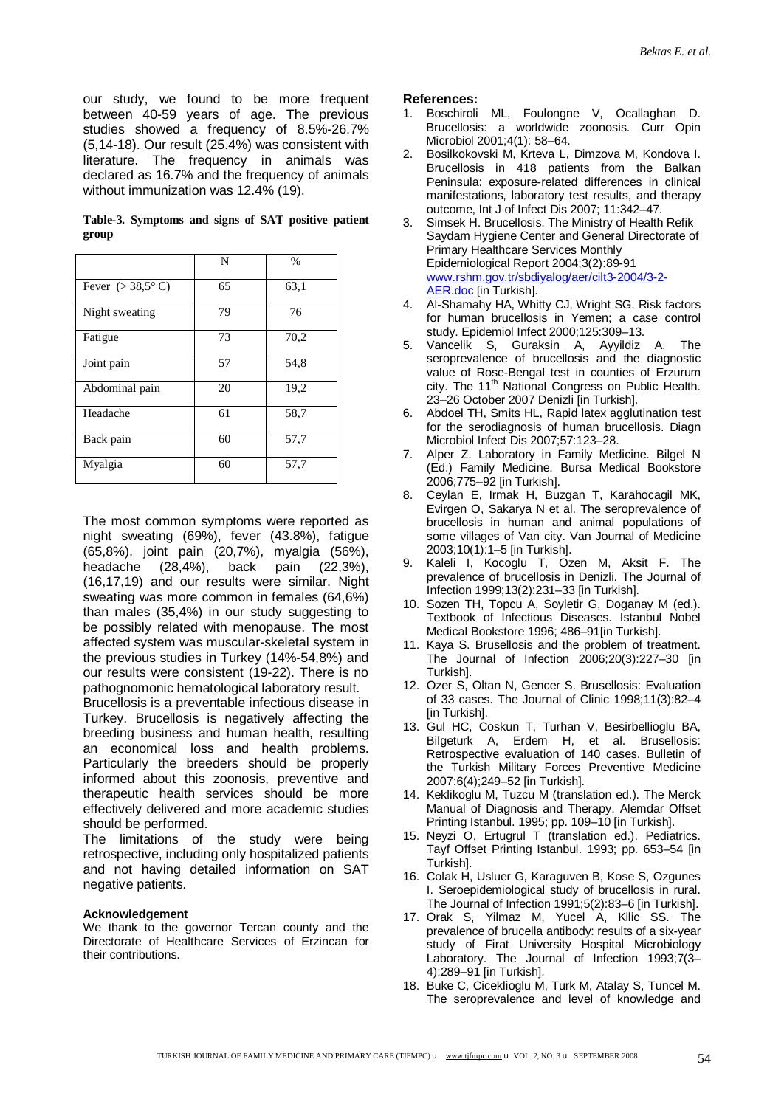our study, we found to be more frequent between 40-59 years of age. The previous studies showed a frequency of 8.5%-26.7% (5,14-18). Our result (25.4%) was consistent with literature. The frequency in animals was declared as 16.7% and the frequency of animals without immunization was 12.4% (19).

**Table-3. Symptoms and signs of SAT positive patient group** 

|                           | N  | $\frac{0}{0}$ |
|---------------------------|----|---------------|
| Fever $(>38.5^{\circ} C)$ | 65 | 63,1          |
| Night sweating            | 79 | 76            |
| Fatigue                   | 73 | 70,2          |
| Joint pain                | 57 | 54,8          |
| Abdominal pain            | 20 | 19,2          |
| Headache                  | 61 | 58,7          |
| Back pain                 | 60 | 57,7          |
| Myalgia                   | 60 | 57,7          |

The most common symptoms were reported as night sweating (69%), fever (43.8%), fatigue (65,8%), joint pain (20,7%), myalgia (56%), headache (28,4%), back pain (22,3%), (16,17,19) and our results were similar. Night sweating was more common in females (64,6%) than males (35,4%) in our study suggesting to be possibly related with menopause. The most affected system was muscular-skeletal system in the previous studies in Turkey (14%-54,8%) and our results were consistent (19-22). There is no pathognomonic hematological laboratory result.

Brucellosis is a preventable infectious disease in Turkey. Brucellosis is negatively affecting the breeding business and human health, resulting an economical loss and health problems. Particularly the breeders should be properly informed about this zoonosis, preventive and therapeutic health services should be more effectively delivered and more academic studies should be performed.

The limitations of the study were being retrospective, including only hospitalized patients and not having detailed information on SAT negative patients.

## **Acknowledgement**

We thank to the governor Tercan county and the Directorate of Healthcare Services of Erzincan for their contributions.

## **References:**

- 1. Boschiroli ML, Foulongne V, Ocallaghan D. Brucellosis: a worldwide zoonosis. Curr Opin Microbiol 2001;4(1): 58–64.
- 2. Bosilkokovski M, Krteva L, Dimzova M, Kondova I. Brucellosis in 418 patients from the Balkan Peninsula: exposure-related differences in clinical manifestations, laboratory test results, and therapy outcome, Int J of Infect Dis 2007; 11:342–47.
- 3. Simsek H. Brucellosis. The Ministry of Health Refik Saydam Hygiene Center and General Directorate of Primary Healthcare Services Monthly Epidemiological Report 2004;3(2):89-91 [www.rshm.gov.tr/sbdiyalog/aer/cilt3-2004/3-2](http://www.rshm.gov.tr/sbdiyalog/aer/cilt3-2004/3-2)- AER.doc [in Turkish].
- 4. Al-Shamahy HA, Whitty CJ, Wright SG. Risk factors for human brucellosis in Yemen; a case control study. Epidemiol Infect 2000;125:309–13.
- 5. Vancelik S, Guraksin A, Ayyildiz A. The seroprevalence of brucellosis and the diagnostic value of Rose-Bengal test in counties of Erzurum city. The 11<sup>th</sup> National Congress on Public Health. 23–26 October 2007 Denizli [in Turkish].
- 6. Abdoel TH, Smits HL, Rapid latex agglutination test for the serodiagnosis of human brucellosis. Diagn Microbiol Infect Dis 2007;57:123–28.
- 7. Alper Z. Laboratory in Family Medicine. Bilgel N (Ed.) Family Medicine. Bursa Medical Bookstore 2006;775–92 [in Turkish].
- 8. Ceylan E, Irmak H, Buzgan T, Karahocagil MK, Evirgen O, Sakarya N et al. The seroprevalence of brucellosis in human and animal populations of some villages of Van city. Van Journal of Medicine 2003;10(1):1–5 [in Turkish].
- 9. Kaleli I, Kocoglu T, Ozen M, Aksit F. The prevalence of brucellosis in Denizli. The Journal of Infection 1999;13(2):231–33 [in Turkish].
- 10. Sozen TH, Topcu A, Soyletir G, Doganay M (ed.). Textbook of Infectious Diseases. Istanbul Nobel Medical Bookstore 1996; 486–91[in Turkish].
- 11. Kaya S. Brusellosis and the problem of treatment. The Journal of Infection 2006;20(3):227–30 [in Turkish].
- 12. Ozer S, Oltan N, Gencer S. Brusellosis: Evaluation of 33 cases. The Journal of Clinic 1998;11(3):82–4 [in Turkish].
- 13. Gul HC, Coskun T, Turhan V, Besirbellioglu BA, Bilgeturk A, Erdem H, et al. Brusellosis: Retrospective evaluation of 140 cases. Bulletin of the Turkish Military Forces Preventive Medicine 2007:6(4);249–52 [in Turkish].
- 14. Keklikoglu M, Tuzcu M (translation ed.). The Merck Manual of Diagnosis and Therapy. Alemdar Offset Printing Istanbul. 1995; pp. 109–10 [in Turkish].
- 15. Neyzi O, Ertugrul T (translation ed.). Pediatrics. Tayf Offset Printing Istanbul. 1993; pp. 653–54 [in Turkish].
- 16. Colak H, Usluer G, Karaguven B, Kose S, Ozgunes I. Seroepidemiological study of brucellosis in rural. The Journal of Infection 1991;5(2):83–6 [in Turkish].
- 17. Orak S, Yilmaz M, Yucel A, Kilic SS. The prevalence of brucella antibody: results of a six-year study of Firat University Hospital Microbiology Laboratory. The Journal of Infection 1993;7(3– 4):289–91 [in Turkish].
- 18. Buke C, Ciceklioglu M, Turk M, Atalay S, Tuncel M. The seroprevalence and level of knowledge and